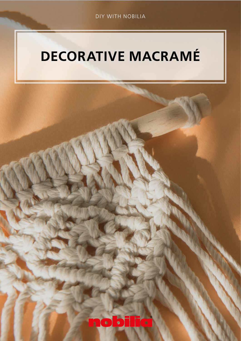## DECORATIVE MACRAMÉ

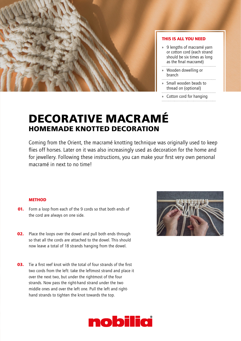

## THIS IS ALL YOU NEED

- » 9 lengths of macramé yarn or cotton cord (each strand should be six times as long as the final macramé)
- » Wooden dowelling or  $branch$
- » Small wooden beads to
- thread on (optional)
- » Cotton cord for hanging

## **DECORATIVE MACRAMÉ HOMEMADE KNOTTED DECORATION**

Coming from the Orient, the macramé knotting technique was originally used to keep flies off horses. Later on it was also increasingly used as decoration for the home and for jewellery. Following these instructions, you can make your first very own personal macramé in next to no time!

## **METHOD**

- **01.** Form a loop from each of the 9 cords so that both ends of the cord are always on one side.
- **02.** Place the loops over the dowel and pull both ends through so that all the cords are attached to the dowel. This should now leave a total of 18 strands hanging from the dowel.
- **03.** Tie a first reef knot with the total of four strands of the first two cords from the left: take the leftmost strand and place it over the next two, but under the rightmost of the four strands. Now pass the right-hand strand under the two middle ones and over the left one. Pull the left and righthand strands to tighten the knot towards the top.